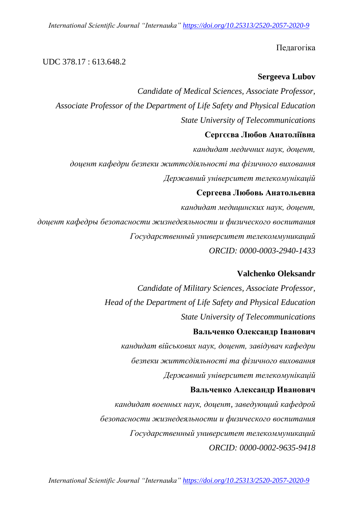*Іntеrnаtіоnаl Scіеntіfіc Jоurnаl "Іntеrnаukа"<https://doi.org/10.25313/2520-2057-2020-9>*

Педагогіка

## UDC 378.17 : 613.648.2

## **Sergeeva Lubov**

*Candidate of Medical Sciences, Associate Professor, Associate Professor of the Department of Life Safety and Physical Education State University of Telecommunications*

## **Сергєєва Любов Анатоліївна**

*кандидат медичних наук, доцент, доцент кафедри безпеки життєдіяльності та фізичного виховання Державний університет телекомунікацій*

## **Сергеева Любовь Анатольевна**

*кандидат медицинских наук, доцент, доцент кафедры безопасности жизнедеяльности и физического воспитания Государственный университет телекоммуникаций ORCID: 0000-0003-2940-1433*

## **Valchenko Oleksandr**

*Candidate of Military Sciences, Associate Professor, Head of the Department of Life Safety and Physical Education State University of Telecommunications*

## **Вальченко Олександр Іванович**

*кандидат військових наук, доцент, завідувач кафедри безпеки життєдіяльності та фізичного виховання Державний університет телекомунікацій*

## **Вальченко Александр Иванович**

*кандидат военных наук, доцент, заведующий кафедрой безопасности жизнедеяльности и физического воспитания Государственный университет телекоммуникаций ORCID: 0000-0002-9635-9418*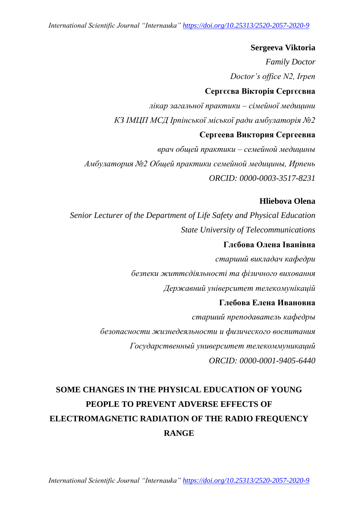## **Sergeeva Viktoria**

*Family Doctor Doctor's office N2, Irpen*

## **Сергєєва Вікторія Сергєєвна**

*лікар загальної практики – сімейної медицини КЗ ІМЦП МСД Ірпінської міської ради амбулаторія №2* 

## **Сергеева Виктория Сергеевна**

*врач общей практики – семейной медицины Амбулатория №2 Общей практики семейной медицины, Ирпень ORCID: 0000-0003-3517-8231*

## **Hliebova Olena**

*Senior Lecturer of the Department of Life Safety and Physical Education State University of Telecommunications*

## **Глєбова Олена Іванівна**

*старший викладач кафедри безпеки життєдіяльності та фізичного виховання Державний університет телекомунікацій*

## **Глебова Елена Ивановна**

*старший преподаватель кафедры безопасности жизнедеяльности и физического воспитания Государственный университет телекоммуникаций ORCID: 0000-0001-9405-6440*

## **SOME CHANGES IN THE PHYSICAL EDUCATION OF YOUNG PEOPLE TO PREVENT ADVERSE EFFECTS OF ELECTROMAGNETIC RADIATION OF THE RADIO FREQUENCY RANGE**

*Іntеrnаtіоnаl Scіеntіfіc Jоurnаl "Іntеrnаukа"<https://doi.org/10.25313/2520-2057-2020-9>*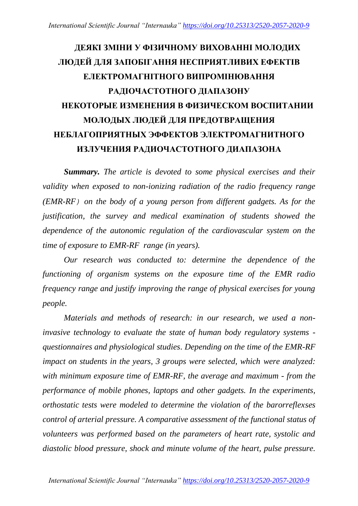# **ДЕЯКІ ЗМІНИ У ФІЗИЧНОМУ ВИХОВАННІ МОЛОДИХ ЛЮДЕЙ ДЛЯ ЗАПОБІГАННЯ НЕСПРИЯТЛИВИХ ЕФЕКТІВ ЕЛЕКТРОМАГНІТНОГО ВИПРОМІНЮВАННЯ РАДІОЧАСТОТНОГО ДІАПАЗОНУ НЕКОТОРЫЕ ИЗМЕНЕНИЯ В ФИЗИЧЕСКОМ ВОСПИТАНИИ МОЛОДЫХ ЛЮДЕЙ ДЛЯ ПРЕДОТВРАЩЕНИЯ НЕБЛАГОПРИЯТНЫХ ЭФФЕКТОВ ЭЛЕКТРОМАГНИТНОГО ИЗЛУЧЕНИЯ РАДИОЧАСТОТНОГО ДИАПАЗОНА**

*Summary. The article is devoted to some physical exercises and their validity when exposed to non-ionizing radiation of the radio frequency range (EMR-RF) on the body of a young person from different gadgets. As for the justification, the survey and medical examination of students showed the dependence of the autonomic regulation of the cardiovascular system on the time of exposure to EMR-RF range (in years).*

*Our research was conducted to: determine the dependence of the functioning of organism systems on the exposure time of the EMR radio frequency range and justify improving the range of physical exercises for young people.*

*Materials and methods of research: in our research, we used a noninvasive technology to evaluate the state of human body regulatory systems questionnaires and physiological studies. Depending on the time of the EMR-RF impact on students in the years, 3 groups were selected, which were analyzed: with minimum exposure time of EMR-RF, the average and maximum - from the performance of mobile phones, laptops and other gadgets. In the experiments, orthostatic tests were modeled to determine the violation of the barorreflexses control of arterial pressure. A comparative assessment of the functional status of volunteers was performed based on the parameters of heart rate, systolic and diastolic blood pressure, shock and minute volume of the heart, pulse pressure.*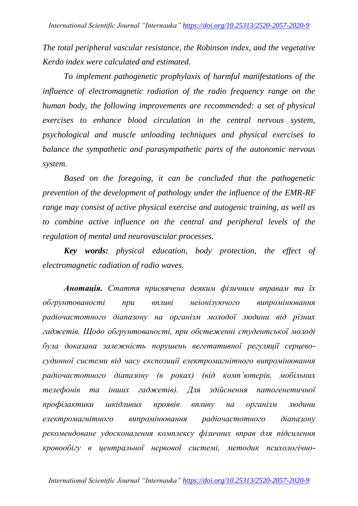*The total peripheral vascular resistance, the Robinson index, and the vegetative Kerdo index were calculated and estimated.*

*To implement pathogenetic prophylaxis of harmful manifestations of the influence of electromagnetic radiation of the radio frequency range on the human body, the following improvements are recommended: a set of physical exercises to enhance blood circulation in the central nervous system, psychological and muscle unloading techniques and physical exercises to balance the sympathetic and parasympathetic parts of the autonomic nervous system.*

*Based on the foregoing, it can be concluded that the pathogenetic prevention of the development of pathology under the influence of the EMR-RF range may consist of active physical exercise and autogenic training, as well as to combine active influence on the central and peripheral levels of the regulation of mental and neurovascular processes.*

*Key words: physical education, body protection, the effect of electromagnetic radiation of radio waves.*

*Анотація. Стаття присвячена деяким фізичним вправам та їх обгрунтованості при впливі неіонізуючого випромінювання радіочастотного діапазону на організм молодої людини від різних гаджетів. Щодо обгрунтованості, при обстеженні студентської молоді була доказана залежність порушень вегетативної регуляції серцевосудинної системи від часу експозиції електромагнітного випромінювання радіочастотного діапазону (в роках) (від комп'ютерів, мобільних телефонів та інших гаджетів). Для здійснення патогенетичної профілактики шкідливих проявів впливу на організм людини електромагнітного випромінювання радіочастотного діапазону рекомендоване удосконалення комплексу фізичних вправ для підсилення кровообігу в центральної нервової системі, методик психологічно-*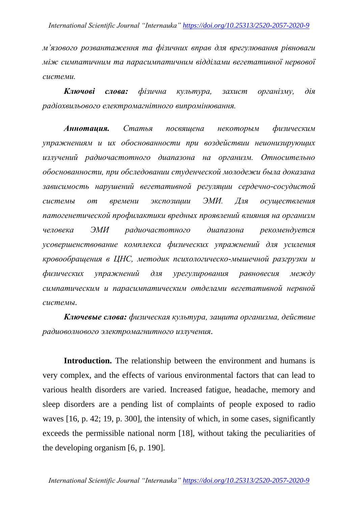*м'язового розвантаження та фізичних вправ для врегулювання рівноваги між симпатичним та парасимпатичним відділами вегетативної нервової системи.*

*Ключові слова: фізична культура, захист організму, дія радіохвильового електромагнітного випромінювання.*

*Аннотация. Статья посвящена некоторым физическим упражнениям и их обоснованности при воздействии неионизирующих излучений радиочастотного диапазона на организм. Относительно обоснованности, при обследовании студенческой молодежи была доказана зависимость нарушений вегетативной регуляции сердечно-сосудистой системы от времени экспозиции ЭМИ. Для осуществления патогенетической профилактики вредных проявлений влияния на организм человека ЭМИ радиочастотного диапазона рекомендуется усовершенствование комплекса физических упражнений для усиления кровообращения в ЦНС, методик психологическо-мышечной разгрузки и физических упражнений для урегулирования равновесия между симпатическим и парасимпатическим отделами вегетативной нервной системы.*

*Ключевые слова: физическая культура, защита организма, действие радиоволнового электромагнитного излучения.*

**Introduction.** The relationship between the environment and humans is very complex, and the effects of various environmental factors that can lead to various health disorders are varied. Increased fatigue, headache, memory and sleep disorders are a pending list of complaints of people exposed to radio waves [16, p. 42; 19, p. 300], the intensity of which, in some cases, significantly exceeds the permissible national norm [18], without taking the peculiarities of the developing organism [6, p. 190].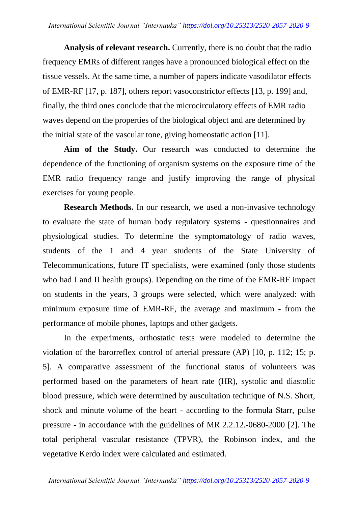**Analysis of relevant research.** Currently, there is no doubt that the radio frequency EMRs of different ranges have a pronounced biological effect on the tissue vessels. At the same time, a number of papers indicate vasodilator effects of EMR-RF [17, p. 187], others report vasoconstrictor effects [13, p. 199] and, finally, the third ones conclude that the microcirculatory effects of EMR radio waves depend on the properties of the biological object and are determined by the initial state of the vascular tone, giving homeostatic action [11].

**Aim of the Study.** Our research was conducted to determine the dependence of the functioning of organism systems on the exposure time of the EMR radio frequency range and justify improving the range of physical exercises for young people.

**Research Methods.** In our research, we used a non-invasive technology to evaluate the state of human body regulatory systems - questionnaires and physiological studies. To determine the symptomatology of radio waves, students of the 1 and 4 year students of the State University of Telecommunications, future IT specialists, were examined (only those students who had I and II health groups). Depending on the time of the EMR-RF impact on students in the years, 3 groups were selected, which were analyzed: with minimum exposure time of EMR-RF, the average and maximum - from the performance of mobile phones, laptops and other gadgets.

In the experiments, orthostatic tests were modeled to determine the violation of the barorreflex control of arterial pressure (AP) [10, p. 112; 15; p. 5]. A comparative assessment of the functional status of volunteers was performed based on the parameters of heart rate (HR), systolic and diastolic blood pressure, which were determined by auscultation technique of N.S. Short, shock and minute volume of the heart - according to the formula Starr, pulse pressure - in accordance with the guidelines of MR 2.2.12.-0680-2000 [2]. The total peripheral vascular resistance (TPVR), the Robinson index, and the vegetative Kerdo index were calculated and estimated.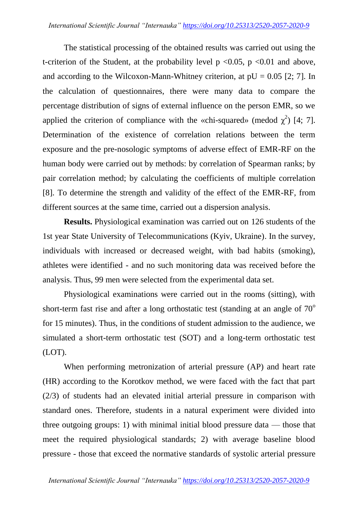The statistical processing of the obtained results was carried out using the t-criterion of the Student, at the probability level  $p \le 0.05$ ,  $p \le 0.01$  and above, and according to the Wilcoxon-Mann-Whitney criterion, at  $pU = 0.05$  [2; 7]. In the calculation of questionnaires, there were many data to compare the percentage distribution of signs of external influence on the person EMR, so we applied the criterion of compliance with the «chi-squared» (medod  $\chi^2$ ) [4; 7]. Determination of the existence of correlation relations between the term exposure and the pre-nosologic symptoms of adverse effect of EMR-RF on the human body were carried out by methods: by correlation of Spearman ranks; by pair correlation method; by calculating the coefficients of multiple correlation [8]. To determine the strength and validity of the effect of the EMR-RF, from different sources at the same time, carried out a dispersion analysis.

**Results.** Physiological examination was carried out on 126 students of the 1st year State University of Telecommunications (Kyiv, Ukraine). In the survey, individuals with increased or decreased weight, with bad habits (smoking), athletes were identified - and no such monitoring data was received before the analysis. Thus, 99 men were selected from the experimental data set.

Physiological examinations were carried out in the rooms (sitting), with short-term fast rise and after a long orthostatic test (standing at an angle of  $70^{\circ}$ ) for 15 minutes). Thus, in the conditions of student admission to the audience, we simulated a short-term orthostatic test (SOT) and a long-term orthostatic test (LOT).

When performing metronization of arterial pressure (AP) and heart rate (HR) according to the Korotkov method, we were faced with the fact that part (2/3) of students had an elevated initial arterial pressure in comparison with standard ones. Therefore, students in a natural experiment were divided into three outgoing groups: 1) with minimal initial blood pressure data — those that meet the required physiological standards; 2) with average baseline blood pressure - those that exceed the normative standards of systolic arterial pressure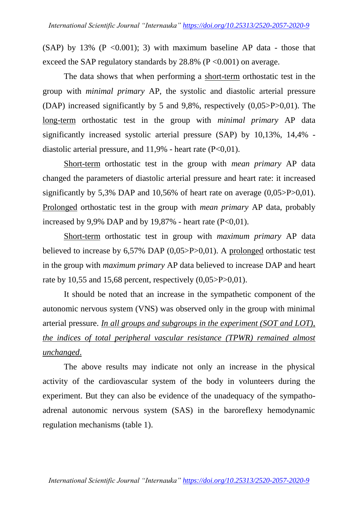$(SAP)$  by 13%  $(P < 0.001)$ ; 3) with maximum baseline AP data - those that exceed the SAP regulatory standards by  $28.8\%$  (P < 0.001) on average.

The data shows that when performing a short-term orthostatic test in the group with *minimal primary* AP, the systolic and diastolic arterial pressure (DAP) increased significantly by 5 and 9,8%, respectively (0,05>P>0,01). The long-term orthostatic test in the group with *minimal primary* AP data significantly increased systolic arterial pressure (SAP) by 10,13%, 14,4% diastolic arterial pressure, and  $11,9%$  - heart rate (P<0,01).

Short-term orthostatic test in the group with *mean primary* AP data changed the parameters of diastolic arterial pressure and heart rate: it increased significantly by 5,3% DAP and 10,56% of heart rate on average  $(0,05 > P > 0,01)$ . Prolonged orthostatic test in the group with *mean primary* AP data, probably increased by 9,9% DAP and by 19,87% - heart rate  $(P<0,01)$ .

Short-term orthostatic test in group with *maximum primary* AP data believed to increase by 6,57% DAP (0,05>P>0,01). A prolonged orthostatic test in the group with *maximum primary* AP data believed to increase DAP and heart rate by 10,55 and 15,68 percent, respectively  $(0.05 > P > 0.01)$ .

It should be noted that an increase in the sympathetic component of the autonomic nervous system (VNS) was observed only in the group with minimal arterial pressure. *In all groups and subgroups in the experiment (SOT and LOT), the indices of total peripheral vascular resistance (TPWR) remained almost unchanged*.

The above results may indicate not only an increase in the physical activity of the cardiovascular system of the body in volunteers during the experiment. But they can also be evidence of the unadequacy of the sympathoadrenal autonomic nervous system (SAS) in the baroreflexy hemodynamic regulation mechanisms (table 1).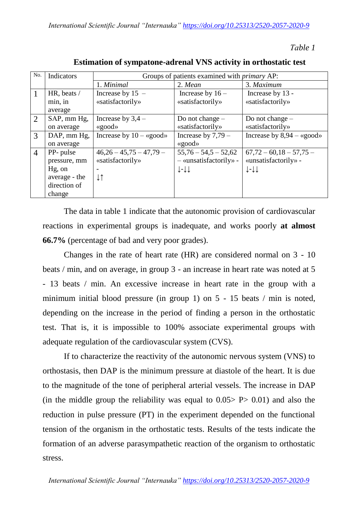*Таble 1*

| No.            | Indicators    | Groups of patients examined with <i>primary</i> AP: |                                       |                                         |  |  |  |  |  |
|----------------|---------------|-----------------------------------------------------|---------------------------------------|-----------------------------------------|--|--|--|--|--|
|                |               | 1. Minimal                                          | 2. Mean                               | 3. Maximum                              |  |  |  |  |  |
|                | HR, beats /   | Increase by $15 -$                                  | Increase by $16 -$                    | Increase by 13 -                        |  |  |  |  |  |
|                | min, in       | «satisfactorily»                                    | «satisfactorily»                      | «satisfactorily»                        |  |  |  |  |  |
|                | average       |                                                     |                                       |                                         |  |  |  |  |  |
| $\overline{2}$ | SAP, mm Hg,   | Increase by $3,4$ –                                 | Do not change $-$                     | Do not change $-$                       |  |  |  |  |  |
|                | on average    | $\langle\langle\text{good}\rangle\rangle$           | «satisfactorily»                      | «satisfactorily»                        |  |  |  |  |  |
| 3              | DAP, mm Hg,   | Increase by $10 - \kappa \text{good}$               | Increase by $7,79-$                   | Increase by $8,94 - \kappa \text{good}$ |  |  |  |  |  |
|                | on average    |                                                     | $\langle \text{good} \rangle$         |                                         |  |  |  |  |  |
| $\overline{4}$ | PP- pulse     | $46,26 - 45,75 - 47,79 -$                           | $55,76 - 54,5 - 52,62$                | $67,72 - 60,18 - 57,75 -$               |  |  |  |  |  |
|                | pressure, mm  | «satisfactorily»                                    | $-$ «unsatisfactorily» -              | «unsatisfactorily» -                    |  |  |  |  |  |
|                | Hg, on        |                                                     | $\downarrow$ - $\downarrow\downarrow$ | $\downarrow$ - $\downarrow\downarrow$   |  |  |  |  |  |
|                | average - the | T)                                                  |                                       |                                         |  |  |  |  |  |
|                | direction of  |                                                     |                                       |                                         |  |  |  |  |  |
|                | change        |                                                     |                                       |                                         |  |  |  |  |  |

**Estimation of sympatone-adrenal VNS activity in orthostatic test**

The data in table 1 indicate that the autonomic provision of cardiovascular reactions in experimental groups is inadequate, and works poorly **at almost 66.7%** (percentage of bad and very poor grades).

Changes in the rate of heart rate (HR) are considered normal on 3 - 10 beats / min, and on average, in group 3 - an increase in heart rate was noted at 5 - 13 beats / min. An excessive increase in heart rate in the group with a minimum initial blood pressure (in group 1) on 5 - 15 beats / min is noted, depending on the increase in the period of finding a person in the orthostatic test. That is, it is impossible to 100% associate experimental groups with adequate regulation of the cardiovascular system (CVS).

If to characterize the reactivity of the autonomic nervous system (VNS) to orthostasis, then DAP is the minimum pressure at diastole of the heart. It is due to the magnitude of the tone of peripheral arterial vessels. The increase in DAP (in the middle group the reliability was equal to  $0.05 > P > 0.01$ ) and also the reduction in pulse pressure (PT) in the experiment depended on the functional tension of the organism in the orthostatic tests. Results of the tests indicate the formation of an adverse parasympathetic reaction of the organism to orthostatic stress.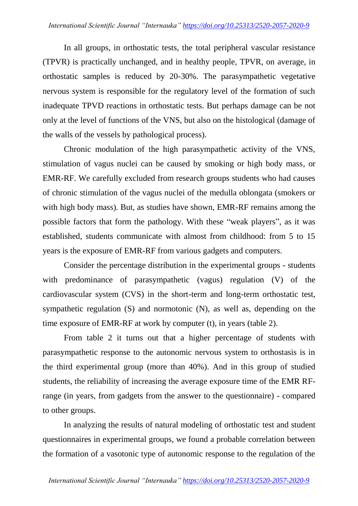In all groups, in orthostatic tests, the total peripheral vascular resistance (TPVR) is practically unchanged, and in healthy people, TPVR, on average, in orthostatic samples is reduced by 20-30%. The parasympathetic vegetative nervous system is responsible for the regulatory level of the formation of such inadequate TPVD reactions in orthostatic tests. But perhaps damage can be not only at the level of functions of the VNS, but also on the histological (damage of the walls of the vessels by pathological process).

Chronic modulation of the high parasympathetic activity of the VNS, stimulation of vagus nuclei can be caused by smoking or high body mass, or EMR-RF. We carefully excluded from research groups students who had causes of chronic stimulation of the vagus nuclei of the medulla oblongata (smokers or with high body mass). But, as studies have shown, EMR-RF remains among the possible factors that form the pathology. With these "weak players", as it was established, students communicate with almost from childhood: from 5 to 15 years is the exposure of EMR-RF from various gadgets and computers.

Consider the percentage distribution in the experimental groups - students with predominance of parasympathetic (vagus) regulation (V) of the cardiovascular system (CVS) in the short-term and long-term orthostatic test, sympathetic regulation (S) and normotonic (N), as well as, depending on the time exposure of EMR-RF at work by computer (t), in years (table 2).

From table 2 it turns out that a higher percentage of students with parasympathetic response to the autonomic nervous system to orthostasis is in the third experimental group (more than 40%). And in this group of studied students, the reliability of increasing the average exposure time of the EMR RFrange (in years, from gadgets from the answer to the questionnaire) - compared to other groups.

In analyzing the results of natural modeling of orthostatic test and student questionnaires in experimental groups, we found a probable correlation between the formation of a vasotonic type of autonomic response to the regulation of the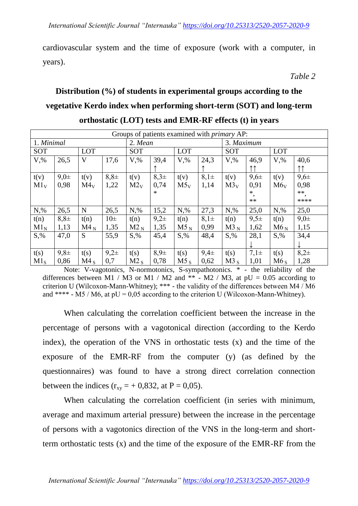cardiovascular system and the time of exposure (work with a computer, in years).

*Таble 2*

| Distribution $\left(\frac{0}{0}\right)$ of students in experimental groups according to the |
|---------------------------------------------------------------------------------------------|
| vegetative Kerdo index when performing short-term (SOT) and long-term                       |
| orthostatic (LOT) tests and EMR-RF effects (t) in years                                     |

| Groups of patients examined with <i>primary</i> AP: |          |                         |          |                 |          |                 |            |                 |           |               |          |  |
|-----------------------------------------------------|----------|-------------------------|----------|-----------------|----------|-----------------|------------|-----------------|-----------|---------------|----------|--|
| 1. Minimal                                          |          |                         |          | 2. Mean         |          |                 | 3. Maximum |                 |           |               |          |  |
| LOT<br>SOT                                          |          |                         | SOT      |                 | LOT      |                 | SOT        |                 | LOT       |               |          |  |
| $V, \%$                                             | 26,5     | $\overline{\mathsf{V}}$ | 17,6     | $V, \%$         | 39,4     | V, %            | 24,3       | $V, \%$         | 46,9      | $V, \%$       | 40,6     |  |
|                                                     |          |                         |          |                 |          |                 |            |                 |           |               | ↑↑       |  |
| t(v)                                                | $9,0\pm$ | t(v)                    | $8,8\pm$ | t(v)            | $8,3\pm$ | t(v)            | $8,1\pm$   | t(v)            | $9,6\pm$  | t(v)          | $9,6\pm$ |  |
| $M1_V$                                              | 0,98     | $M4_V$                  | 1,22     | $M2_V$          | 0,74     | M5v             | 1,14       | M3v             | 0,91      | $M6_V$        | 0,98     |  |
|                                                     |          |                         |          |                 | $\ast$   |                 |            |                 | $\ast$    |               | **       |  |
|                                                     |          |                         |          |                 |          |                 |            |                 | $**$      |               | ****     |  |
| $N,$ %                                              | 26,5     | N                       | 26,5     | $N,$ %          | 15,2     | $N,$ %          | 27,3       | $N,$ %          | 25,0      | $N_{\rm A}\%$ | 25,0     |  |
| t(n)                                                | $8,8\pm$ | t(n)                    | $10\pm$  | t(n)            | $9,2\pm$ | t(n)            | $8,1\pm$   | t(n)            | $9,5 \pm$ | t(n)          | $9,0\pm$ |  |
| $M1_N$                                              | 1,13     | $M4_N$                  | 1,35     | $M2_N$          | 1,35     | $M5_{N}$        | 0,99       | $M3_N$          | 1,62      | $M6_N$        | 1,15     |  |
| S, %                                                | 47,0     | S                       | 55,9     | S, %            | 45,4     | S, %            | 48,4       | S, %            | 28,1      | S, %          | 34,4     |  |
|                                                     |          |                         |          |                 |          |                 |            |                 |           |               |          |  |
| t(s)                                                | $9,8\pm$ | t(s)                    | $9,2\pm$ | t(s)            | $8,9\pm$ | t(s)            | $9,4\pm$   | t(s)            | $7,1\pm$  | t(s)          | $8,2\pm$ |  |
| M1 <sub>S</sub>                                     | 0,86     | M4 <sub>s</sub>         | 0,7      | M2 <sub>s</sub> | 0,78     | M5 <sub>s</sub> | 0,62       | M3 <sub>s</sub> | 1,01      | $M6_s$        | 1,28     |  |

Note: V-vagotonics, N-normotonics, S-sympathotonics. \* - the reliability of the differences between M1 / M3 or M1 / M2 and \*\* - M2 / M3, at  $pU = 0.05$  according to criterion U (Wilcoxon-Mann-Whitney); \*\*\* - the validity of the differences between М4 / М6 and \*\*\*\* - M5 / M6, at  $pU = 0.05$  according to the criterion U (Wilcoxon-Mann-Whitney).

When calculating the correlation coefficient between the increase in the percentage of persons with a vagotonical direction (according to the Kerdo index), the operation of the VNS in orthostatic tests (x) and the time of the exposure of the EMR-RF from the computer (y) (as defined by the questionnaires) was found to have a strong direct correlation connection between the indices  $(r_{xy} = +0.832, \text{ at P} = 0.05)$ .

When calculating the correlation coefficient (in series with minimum, average and maximum arterial pressure) between the increase in the percentage of persons with a vagotonics direction of the VNS in the long-term and shortterm orthostatic tests (x) and the time of the exposure of the EMR-RF from the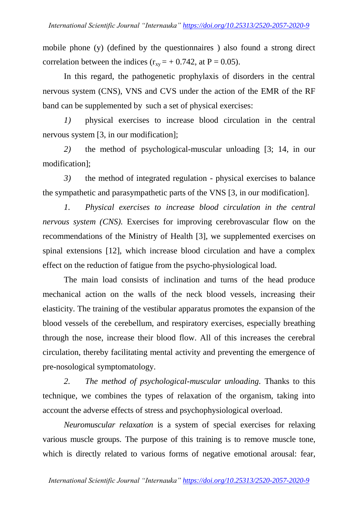mobile phone (y) (defined by the questionnaires ) also found a strong direct correlation between the indices  $(r_{xy} = +0.742, \text{ at P} = 0.05)$ .

In this regard, the pathogenetic prophylaxis of disorders in the central nervous system (CNS), VNS and CVS under the action of the EMR of the RF band can be supplemented by such a set of physical exercises:

*1)* physical exercises to increase blood circulation in the central nervous system [3, in our modification];

*2)* the method of psychological-muscular unloading [3; 14, in our modification];

*3)* the method of integrated regulation - physical exercises to balance the sympathetic and parasympathetic parts of the VNS [3, in our modification].

*1. Physical exercises to increase blood circulation in the central nervous system (CNS).* Exercises for improving cerebrovascular flow on the recommendations of the Ministry of Health [3], we supplemented exercises on spinal extensions [12], which increase blood circulation and have a complex effect on the reduction of fatigue from the psycho-physiological load.

The main load consists of inclination and turns of the head produce mechanical action on the walls of the neck blood vessels, increasing their elasticity. The training of the vestibular apparatus promotes the expansion of the blood vessels of the cerebellum, and respiratory exercises, especially breathing through the nose, increase their blood flow. All of this increases the cerebral circulation, thereby facilitating mental activity and preventing the emergence of pre-nosological symptomatology.

*2. The method of psychological-muscular unloading.* Thanks to this technique, we combines the types of relaxation of the organism, taking into account the adverse effects of stress and psychophysiological overload.

*Neuromuscular relaxation* is a system of special exercises for relaxing various muscle groups. The purpose of this training is to remove muscle tone, which is directly related to various forms of negative emotional arousal: fear,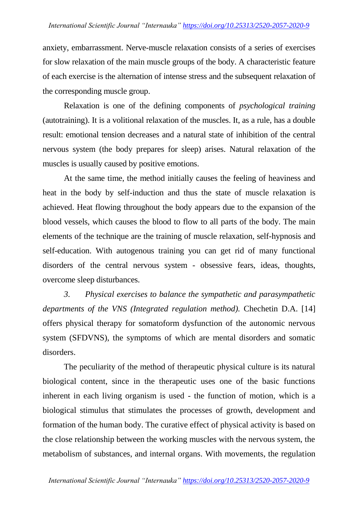anxiety, embarrassment. Nerve-muscle relaxation consists of a series of exercises for slow relaxation of the main muscle groups of the body. A characteristic feature of each exercise is the alternation of intense stress and the subsequent relaxation of the corresponding muscle group.

Relaxation is one of the defining components of *psychological training* (autotraining). It is a volitional relaxation of the muscles. It, as a rule, has a double result: emotional tension decreases and a natural state of inhibition of the central nervous system (the body prepares for sleep) arises. Natural relaxation of the muscles is usually caused by positive emotions.

At the same time, the method initially causes the feeling of heaviness and heat in the body by self-induction and thus the state of muscle relaxation is achieved. Heat flowing throughout the body appears due to the expansion of the blood vessels, which causes the blood to flow to all parts of the body. The main elements of the technique are the training of muscle relaxation, self-hypnosis and self-education. With autogenous training you can get rid of many functional disorders of the central nervous system - obsessive fears, ideas, thoughts, overcome sleep disturbances.

*3. Physical exercises to balance the sympathetic and parasympathetic departments of the VNS (Integrated regulation method).* Chechetin D.A. [14] offers physical therapy for somatoform dysfunction of the autonomic nervous system (SFDVNS), the symptoms of which are mental disorders and somatic disorders.

The peculiarity of the method of therapeutic physical culture is its natural biological content, since in the therapeutic uses one of the basic functions inherent in each living organism is used - the function of motion, which is a biological stimulus that stimulates the processes of growth, development and formation of the human body. The curative effect of physical activity is based on the close relationship between the working muscles with the nervous system, the metabolism of substances, and internal organs. With movements, the regulation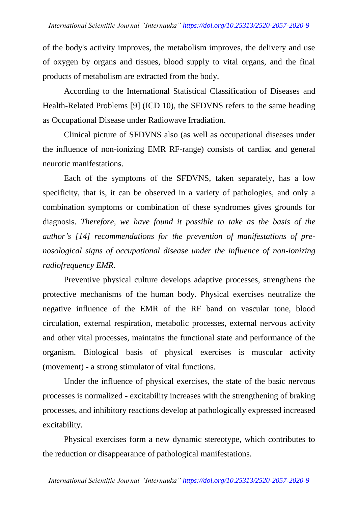of the body's activity improves, the metabolism improves, the delivery and use of oxygen by organs and tissues, blood supply to vital organs, and the final products of metabolism are extracted from the body.

According to the International Statistical Classification of Diseases and Health-Related Problems [9] (ICD 10), the SFDVNS refers to the same heading as Occupational Disease under Radiowave Irradiation.

Clinical picture of SFDVNS also (as well as occupational diseases under the influence of non-ionizing EMR RF-range) consists of cardiac and general neurotic manifestations.

Each of the symptoms of the SFDVNS, taken separately, has a low specificity, that is, it can be observed in a variety of pathologies, and only a combination symptoms or combination of these syndromes gives grounds for diagnosis. *Therefore, we have found it possible to take as the basis of the author's [14] recommendations for the prevention of manifestations of prenosological signs of occupational disease under the influence of non-ionizing radiofrequency EMR.*

Preventive physical culture develops adaptive processes, strengthens the protective mechanisms of the human body. Physical exercises neutralize the negative influence of the EMR of the RF band on vascular tone, blood circulation, external respiration, metabolic processes, external nervous activity and other vital processes, maintains the functional state and performance of the organism. Biological basis of physical exercises is muscular activity (movement) - a strong stimulator of vital functions.

Under the influence of physical exercises, the state of the basic nervous processes is normalized - excitability increases with the strengthening of braking processes, and inhibitory reactions develop at pathologically expressed increased excitability.

Physical exercises form a new dynamic stereotype, which contributes to the reduction or disappearance of pathological manifestations.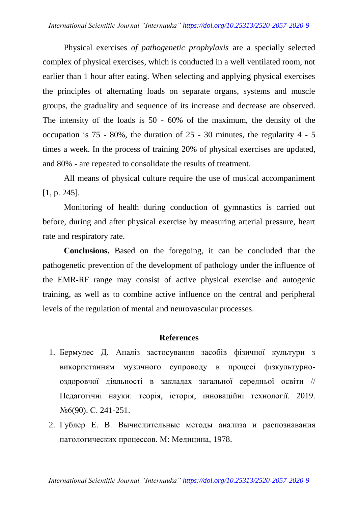Physical exercises *of pathogenetic prophylaxis* are a specially selected complex of physical exercises, which is conducted in a well ventilated room, not earlier than 1 hour after eating. When selecting and applying physical exercises the principles of alternating loads on separate organs, systems and muscle groups, the graduality and sequence of its increase and decrease are observed. The intensity of the loads is 50 - 60% of the maximum, the density of the occupation is 75 - 80%, the duration of 25 - 30 minutes, the regularity 4 - 5 times a week. In the process of training 20% of physical exercises are updated, and 80% - are repeated to consolidate the results of treatment.

All means of physical culture require the use of musical accompaniment [1, p. 245].

Monitoring of health during conduction of gymnastics is carried out before, during and after physical exercise by measuring arterial pressure, heart rate and respiratory rate.

**Conclusions.** Based on the foregoing, it can be concluded that the pathogenetic prevention of the development of pathology under the influence of the EMR-RF range may consist of active physical exercise and autogenic training, as well as to combine active influence on the central and peripheral levels of the regulation of mental and neurovascular processes.

## **References**

- 1. Бермудес Д. Аналіз застосування засобів фізичної культури з використанням музичного супроводу в процесі фізкультурнооздоровчої діяльності в закладах загальної середньої освіти // Педагогічні науки: теорія, історія, інноваційні технології. 2019. №6(90). С. 241-251.
- 2. Гублер Е. В. Вычислительные методы анализа и распознавания патологических процессов. М: Медицина, 1978.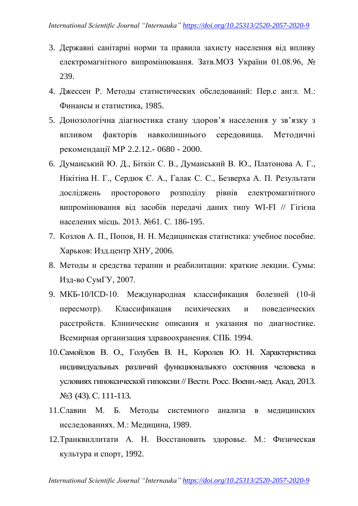- 3. Державні санітарні норми та правила захисту населення від впливу електромагнітного випромінювання. Затв.МОЗ України 01.08.96, № 239.
- 4. Джессен Р. Методы статистических обследований: Пер.с англ. М.: Финансы и статистика, 1985.
- 5. Донозологічна діагностика стану здоров'я населення у зв'язку з впливом факторів навколишнього середовища. Методичні рекомендації МР 2.2.12.- 0680 - 2000.
- 6. Думанський Ю. Д., Біткін С. В., Думанський В. Ю., Платонова А. Г., Нікітіна Н. Г., Сердюк Є. А., Галак С. С., Безверха А. П. Результати досліджень просторового розподілу рівнів електромагнітного випромінювання від засобів передачі даних типу WI-FI // Гігієна населених місць. 2013. №61. С. 186-195.
- 7. Козлов А. П., Попов, Н. Н. Медицинская статистика: учебное пособие. Харьков: Изд.центр ХНУ, 2006.
- 8. Методы и средства терапии и реабилитации: краткие лекции. Сумы: Изд-во СумГУ, 2007.
- 9. МКБ-10/ICD-10. Международная классификация болезней (10-й пересмотр). Классификация психических и поведенческих расстройств. Клинические описания и указания по диагностике. Всемирная организация здравоохранения. СПБ. 1994.
- 10.Самойлов В. О., Голубев В. Н., Королев Ю. Н. Характеристика индивидуальных различий функционального состояния человека в условиях гипоксической гипоксии // Вестн. Росс. Военн.-мед. Акад. 2013. №3 (43).С. 111-113.
- 11.Славин М. Б. Методы системного анализа в медицинских исследованиях. М.: Медицина, 1989.
- 12.Транквиллитати А. Н. Восстановить здоровье. М.: Физическая культура и спорт, 1992.